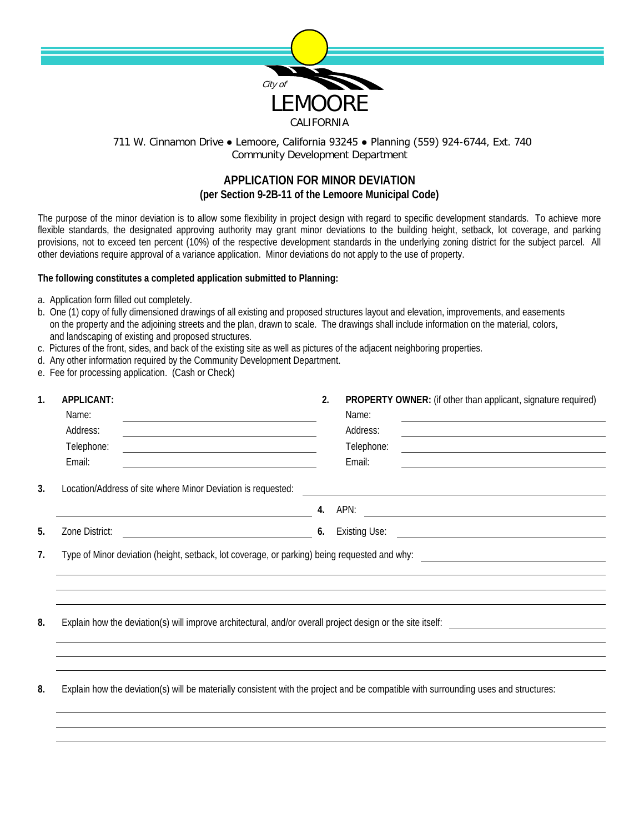

## 711 W. Cinnamon Drive ● Lemoore, California 93245 ● Planning (559) 924-6744, Ext. 740 Community Development Department

## **APPLICATION FOR MINOR DEVIATION (per Section 9-2B-11 of the Lemoore Municipal Code)**

The purpose of the minor deviation is to allow some flexibility in project design with regard to specific development standards. To achieve more flexible standards, the designated approving authority may grant minor deviations to the building height, setback, lot coverage, and parking provisions, not to exceed ten percent (10%) of the respective development standards in the underlying zoning district for the subject parcel. All other deviations require approval of a variance application. Minor deviations do not apply to the use of property.

## **The following constitutes a completed application submitted to Planning:**

- a. Application form filled out completely.
- b. One (1) copy of fully dimensioned drawings of all existing and proposed structures layout and elevation, improvements, and easements on the property and the adjoining streets and the plan, drawn to scale. The drawings shall include information on the material, colors, and landscaping of existing and proposed structures.
- c. Pictures of the front, sides, and back of the existing site as well as pictures of the adjacent neighboring properties.
- d. Any other information required by the Community Development Department.
- e. Fee for processing application. (Cash or Check)

| 1. | <b>APPLICANT:</b><br>Name:<br>Address:<br>Telephone:<br>Email:<br><u> 1980 - Johann Stoff, Amerikaansk politiker (</u>              | 2. | PROPERTY OWNER: (if other than applicant, signature required)<br>Name:<br>Address:<br><u> 1989 - Johann Stein, mars an t-Amerikaansk ferskeizh en de skriuwer en deze en deze en deze en deze en deze </u><br>Telephone:<br>Email: |
|----|-------------------------------------------------------------------------------------------------------------------------------------|----|------------------------------------------------------------------------------------------------------------------------------------------------------------------------------------------------------------------------------------|
| 3. | Location/Address of site where Minor Deviation is requested:                                                                        |    | <u> 1989 - Johann Johann Stoff, deutscher Stoffen und der Stoffen und der Stoffen und der Stoffen und der Stoffen</u>                                                                                                              |
| 5. | Zone District:                                                                                                                      | 6. |                                                                                                                                                                                                                                    |
| 7. |                                                                                                                                     |    |                                                                                                                                                                                                                                    |
| 8. | Explain how the deviation(s) will improve architectural, and/or overall project design or the site itself:                          |    |                                                                                                                                                                                                                                    |
| 8. | Explain how the deviation(s) will be materially consistent with the project and be compatible with surrounding uses and structures: |    |                                                                                                                                                                                                                                    |
|    |                                                                                                                                     |    |                                                                                                                                                                                                                                    |